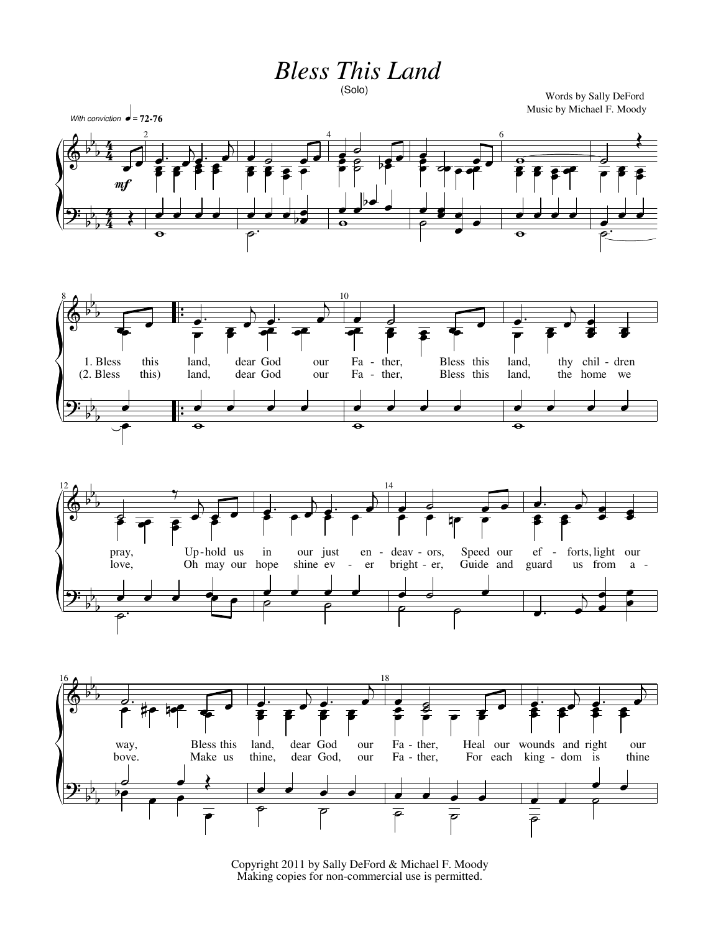**Bless This Land** 

```
(Solo)
```
Words by Sally DeFord Music by Michael F. Moody









Copyright 2011 by Sally DeFord & Michael F. Moody Making copies for non-commercial use is permitted.